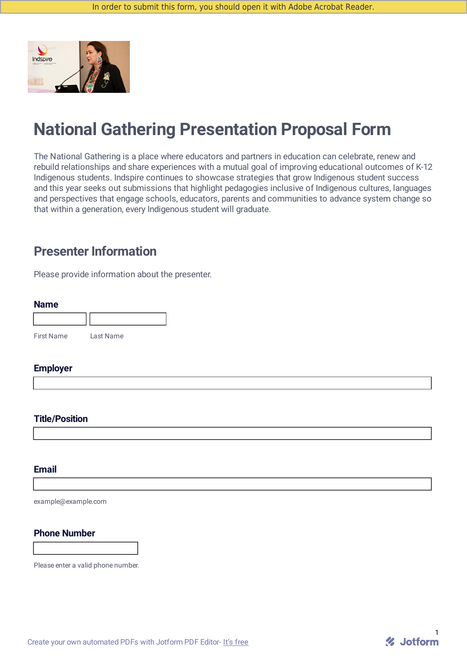

# **National Gathering Presentation Proposal Form**

The National Gathering is a place where educators and partners in education can celebrate, renew and rebuild relationships and share experiences with a mutual goal of improving educational outcomes of K-12 Indigenous students. Indspire continues to showcase strategies that grow Indigenous student success and this year seeks out submissions that highlight pedagogies inclusive of Indigenous cultures, languages and perspectives that engage schools, educators, parents and communities to advance system change so that within a generation, every Indigenous student will graduate.

# **Presenter Information**

Please provide information about the presenter.

#### **Name**

| <b>First Name</b> | Last Name |
|-------------------|-----------|

#### **Employer**

#### **Title/Position**

#### **Email**

example@example.com

### **Phone Number**

Please enter a valid phone number.

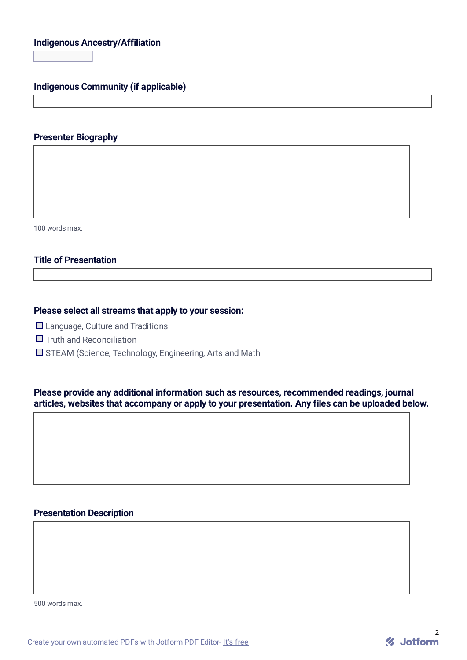# **Indigenous Ancestry/Affiliation**

 $\overline{\mathbf{E}}$ 

**Indigenous Community (if applicable)**

#### **Presenter Biography**

100 words max.

## **Title of Presentation**

#### **Please select all streams that apply to your session:**

- $\Box$  Language, Culture and Traditions
- $\Box$  Truth and Reconciliation
- $\square$  STEAM (Science, Technology, Engineering, Arts and Math

**Please provide any additional information such as resources, recommended readings, journal articles, websites that accompany or apply to your presentation. Any files can be uploaded below.**

#### **Presentation Description**

500 words max.